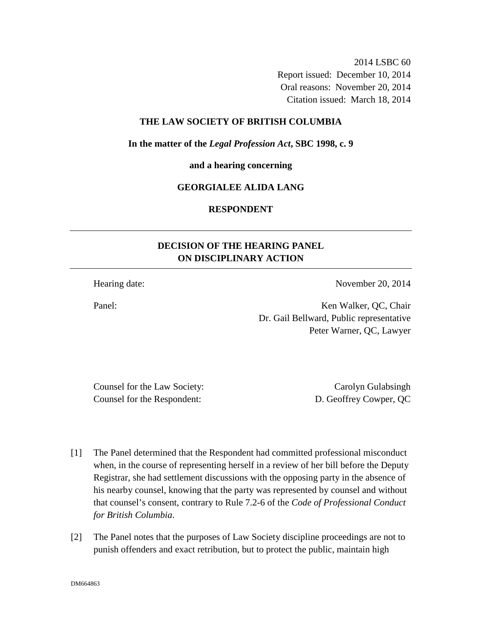2014 LSBC 60 Report issued: December 10, 2014 Oral reasons: November 20, 2014 Citation issued: March 18, 2014

## **THE LAW SOCIETY OF BRITISH COLUMBIA**

**In the matter of the** *Legal Profession Act***, SBC 1998, c. 9** 

**and a hearing concerning** 

## **GEORGIALEE ALIDA LANG**

**RESPONDENT** 

## **DECISION OF THE HEARING PANEL ON DISCIPLINARY ACTION**

Hearing date: November 20, 2014

Panel: Ken Walker, QC, Chair Dr. Gail Bellward, Public representative Peter Warner, QC, Lawyer

Counsel for the Law Society: Carolyn Gulabsingh Counsel for the Respondent: D. Geoffrey Cowper, QC

- [1] The Panel determined that the Respondent had committed professional misconduct when, in the course of representing herself in a review of her bill before the Deputy Registrar, she had settlement discussions with the opposing party in the absence of his nearby counsel, knowing that the party was represented by counsel and without that counsel's consent, contrary to Rule 7.2-6 of the *Code of Professional Conduct for British Columbia*.
- [2] The Panel notes that the purposes of Law Society discipline proceedings are not to punish offenders and exact retribution, but to protect the public, maintain high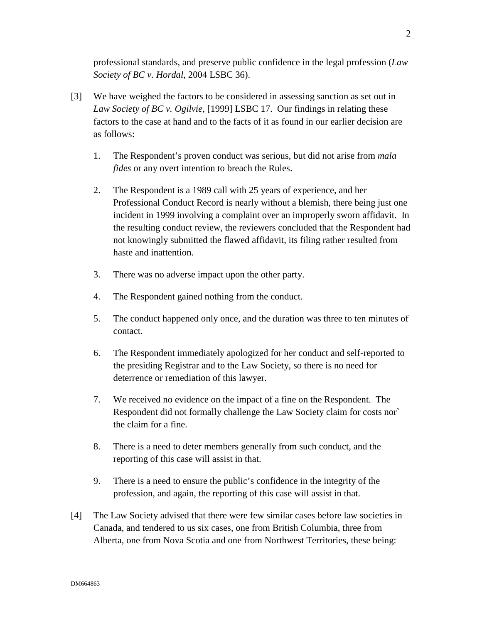professional standards, and preserve public confidence in the legal profession (*Law Society of BC v. Hordal,* 2004 LSBC 36).

- [3] We have weighed the factors to be considered in assessing sanction as set out in *Law Society of BC v. Ogilvie,* [1999] LSBC 17. Our findings in relating these factors to the case at hand and to the facts of it as found in our earlier decision are as follows:
	- 1. The Respondent's proven conduct was serious, but did not arise from *mala fides* or any overt intention to breach the Rules.
	- 2. The Respondent is a 1989 call with 25 years of experience, and her Professional Conduct Record is nearly without a blemish, there being just one incident in 1999 involving a complaint over an improperly sworn affidavit. In the resulting conduct review, the reviewers concluded that the Respondent had not knowingly submitted the flawed affidavit, its filing rather resulted from haste and inattention.
	- 3. There was no adverse impact upon the other party.
	- 4. The Respondent gained nothing from the conduct.
	- 5. The conduct happened only once, and the duration was three to ten minutes of contact.
	- 6. The Respondent immediately apologized for her conduct and self-reported to the presiding Registrar and to the Law Society, so there is no need for deterrence or remediation of this lawyer.
	- 7. We received no evidence on the impact of a fine on the Respondent. The Respondent did not formally challenge the Law Society claim for costs nor` the claim for a fine.
	- 8. There is a need to deter members generally from such conduct, and the reporting of this case will assist in that.
	- 9. There is a need to ensure the public's confidence in the integrity of the profession, and again, the reporting of this case will assist in that.
- [4] The Law Society advised that there were few similar cases before law societies in Canada, and tendered to us six cases, one from British Columbia, three from Alberta, one from Nova Scotia and one from Northwest Territories, these being: